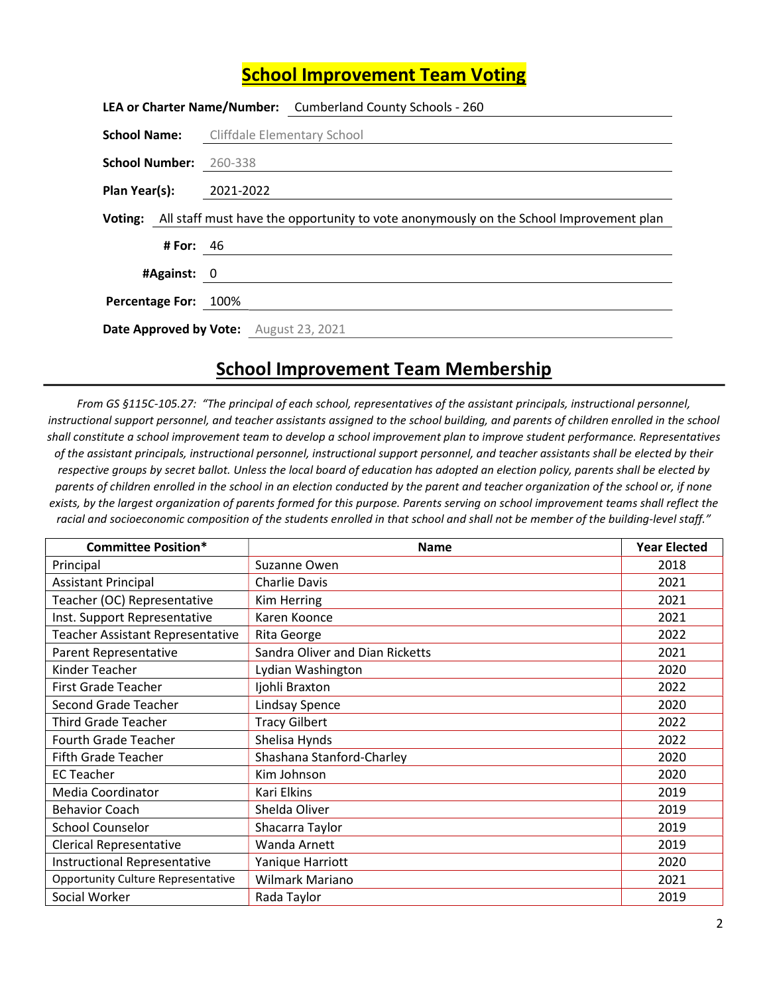## School Improvement Team Voting

|                         |             | LEA or Charter Name/Number: Cumberland County Schools - 260                                           |
|-------------------------|-------------|-------------------------------------------------------------------------------------------------------|
|                         |             | <b>School Name:</b> Cliffdale Elementary School                                                       |
| School Number: 260-338  |             |                                                                                                       |
| Plan Year(s): 2021-2022 |             |                                                                                                       |
|                         |             | <b>Voting:</b> All staff must have the opportunity to vote anonymously on the School Improvement plan |
|                         | # For: $46$ |                                                                                                       |
| #Against: 0             |             |                                                                                                       |
| Percentage For: 100%    |             |                                                                                                       |
|                         |             | <b>Date Approved by Vote:</b> August 23, 2021                                                         |

## School Improvement Team Membership

From GS §115C-105.27: "The principal of each school, representatives of the assistant principals, instructional personnel, instructional support personnel, and teacher assistants assigned to the school building, and parents of children enrolled in the school shall constitute a school improvement team to develop a school improvement plan to improve student performance. Representatives of the assistant principals, instructional personnel, instructional support personnel, and teacher assistants shall be elected by their respective groups by secret ballot. Unless the local board of education has adopted an election policy, parents shall be elected by parents of children enrolled in the school in an election conducted by the parent and teacher organization of the school or, if none exists, by the largest organization of parents formed for this purpose. Parents serving on school improvement teams shall reflect the racial and socioeconomic composition of the students enrolled in that school and shall not be member of the building-level staff."

| <b>Committee Position*</b>                | <b>Name</b>                     | <b>Year Elected</b> |
|-------------------------------------------|---------------------------------|---------------------|
| Principal                                 | Suzanne Owen                    | 2018                |
| <b>Assistant Principal</b>                | Charlie Davis                   | 2021                |
| Teacher (OC) Representative               | Kim Herring                     | 2021                |
| Inst. Support Representative              | Karen Koonce                    | 2021                |
| <b>Teacher Assistant Representative</b>   | Rita George                     | 2022                |
| Parent Representative                     | Sandra Oliver and Dian Ricketts | 2021                |
| Kinder Teacher                            | Lydian Washington               | 2020                |
| <b>First Grade Teacher</b>                | Ijohli Braxton                  | 2022                |
| Second Grade Teacher                      | <b>Lindsay Spence</b>           | 2020                |
| <b>Third Grade Teacher</b>                | <b>Tracy Gilbert</b>            | 2022                |
| <b>Fourth Grade Teacher</b>               | Shelisa Hynds                   | 2022                |
| Fifth Grade Teacher                       | Shashana Stanford-Charley       | 2020                |
| <b>EC Teacher</b>                         | Kim Johnson                     | 2020                |
| Media Coordinator                         | Kari Elkins                     | 2019                |
| <b>Behavior Coach</b>                     | Shelda Oliver                   | 2019                |
| <b>School Counselor</b>                   | Shacarra Taylor                 | 2019                |
| <b>Clerical Representative</b>            | Wanda Arnett                    | 2019                |
| <b>Instructional Representative</b>       | Yanique Harriott                | 2020                |
| <b>Opportunity Culture Representative</b> | <b>Wilmark Mariano</b>          | 2021                |
| Social Worker                             | Rada Taylor                     | 2019                |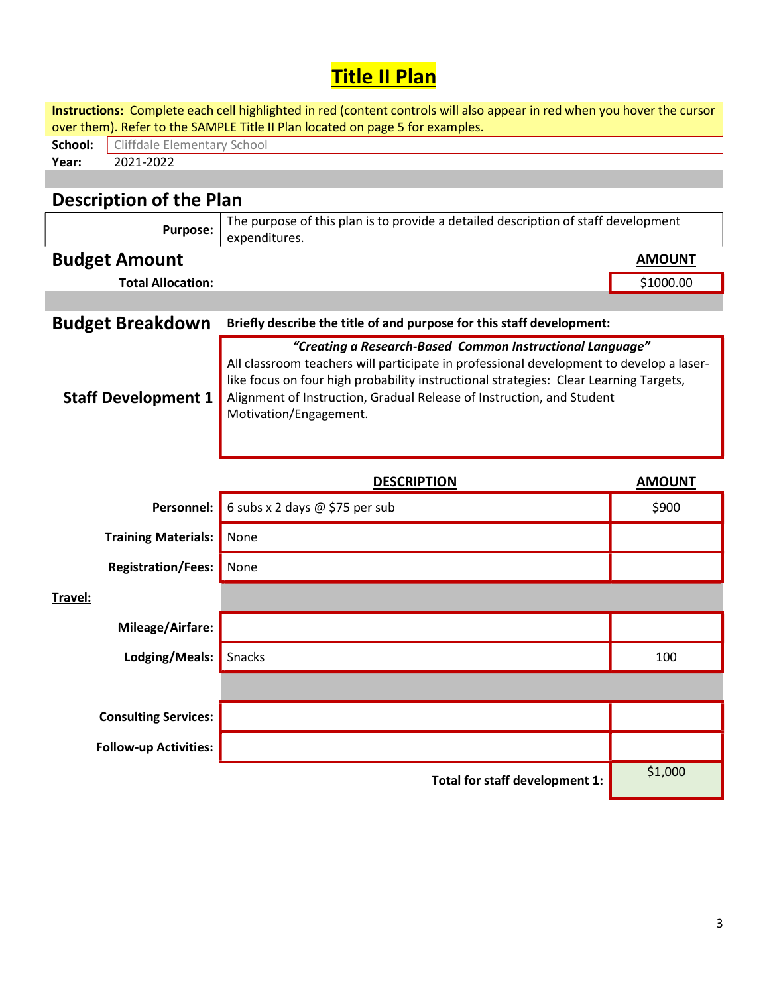## Title II Plan

|                                                                               | Instructions: Complete each cell highlighted in red (content controls will also appear in red when you hover the cursor                                                                                                                                                                                                                          |               |  |  |  |  |  |  |
|-------------------------------------------------------------------------------|--------------------------------------------------------------------------------------------------------------------------------------------------------------------------------------------------------------------------------------------------------------------------------------------------------------------------------------------------|---------------|--|--|--|--|--|--|
| over them). Refer to the SAMPLE Title II Plan located on page 5 for examples. |                                                                                                                                                                                                                                                                                                                                                  |               |  |  |  |  |  |  |
| 2021-2022<br>Year:                                                            | School:<br><b>Cliffdale Elementary School</b>                                                                                                                                                                                                                                                                                                    |               |  |  |  |  |  |  |
|                                                                               |                                                                                                                                                                                                                                                                                                                                                  |               |  |  |  |  |  |  |
| <b>Description of the Plan</b>                                                |                                                                                                                                                                                                                                                                                                                                                  |               |  |  |  |  |  |  |
| <b>Purpose:</b>                                                               | The purpose of this plan is to provide a detailed description of staff development<br>expenditures.                                                                                                                                                                                                                                              |               |  |  |  |  |  |  |
| <b>Budget Amount</b>                                                          |                                                                                                                                                                                                                                                                                                                                                  | <b>AMOUNT</b> |  |  |  |  |  |  |
| <b>Total Allocation:</b>                                                      |                                                                                                                                                                                                                                                                                                                                                  | \$1000.00     |  |  |  |  |  |  |
|                                                                               |                                                                                                                                                                                                                                                                                                                                                  |               |  |  |  |  |  |  |
| <b>Budget Breakdown</b>                                                       | Briefly describe the title of and purpose for this staff development:                                                                                                                                                                                                                                                                            |               |  |  |  |  |  |  |
| <b>Staff Development 1</b>                                                    | "Creating a Research-Based Common Instructional Language"<br>All classroom teachers will participate in professional development to develop a laser-<br>like focus on four high probability instructional strategies: Clear Learning Targets,<br>Alignment of Instruction, Gradual Release of Instruction, and Student<br>Motivation/Engagement. |               |  |  |  |  |  |  |
|                                                                               | <b>DESCRIPTION</b>                                                                                                                                                                                                                                                                                                                               | <b>AMOUNT</b> |  |  |  |  |  |  |
| Personnel:                                                                    | 6 subs x 2 days @ \$75 per sub                                                                                                                                                                                                                                                                                                                   | \$900         |  |  |  |  |  |  |
| <b>Training Materials:</b>                                                    | None                                                                                                                                                                                                                                                                                                                                             |               |  |  |  |  |  |  |
| <b>Registration/Fees:</b>                                                     | None                                                                                                                                                                                                                                                                                                                                             |               |  |  |  |  |  |  |
| Travel:                                                                       |                                                                                                                                                                                                                                                                                                                                                  |               |  |  |  |  |  |  |
| Mileage/Airfare:                                                              |                                                                                                                                                                                                                                                                                                                                                  |               |  |  |  |  |  |  |
| Lodging/Meals:                                                                | Snacks                                                                                                                                                                                                                                                                                                                                           | 100           |  |  |  |  |  |  |
|                                                                               |                                                                                                                                                                                                                                                                                                                                                  |               |  |  |  |  |  |  |
| <b>Consulting Services:</b>                                                   |                                                                                                                                                                                                                                                                                                                                                  |               |  |  |  |  |  |  |
| <b>Follow-up Activities:</b>                                                  |                                                                                                                                                                                                                                                                                                                                                  |               |  |  |  |  |  |  |
|                                                                               |                                                                                                                                                                                                                                                                                                                                                  |               |  |  |  |  |  |  |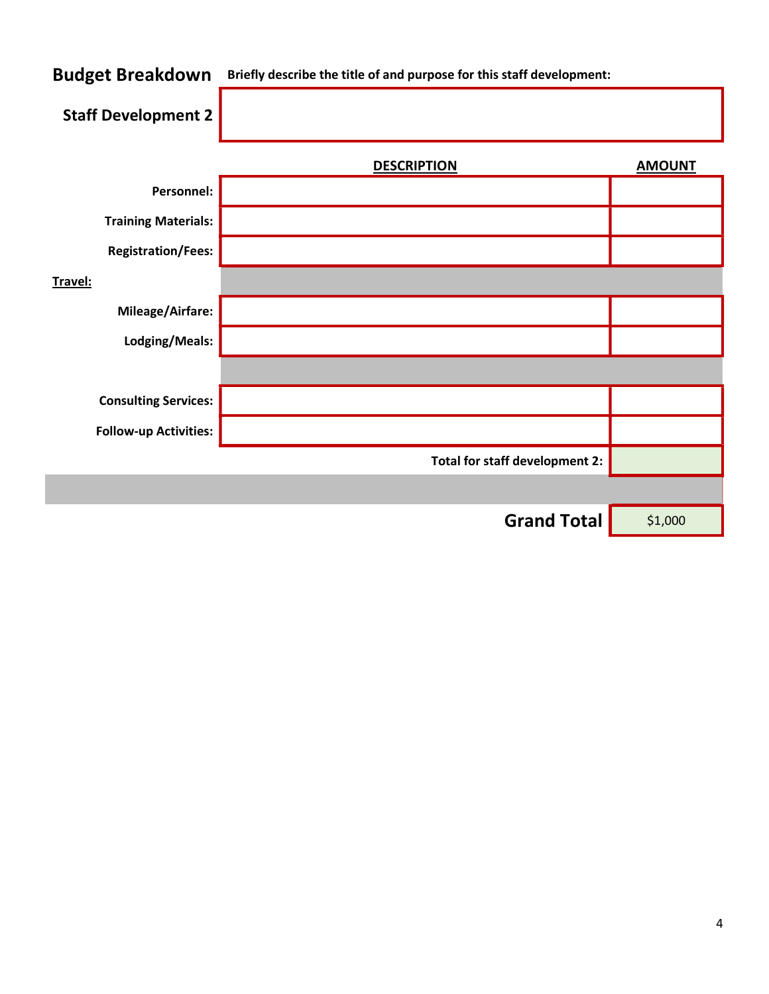## Budget Breakdown Briefly describe the title of and purpose for this staff development: Staff Development 2 DESCRIPTION AMOUNT Personnel: Training Materials: Registration/Fees: Travel: Mileage/Airfare: Lodging/Meals: Consulting Services: Follow-up Activities: Total for staff development 2: Grand Total \$1,000